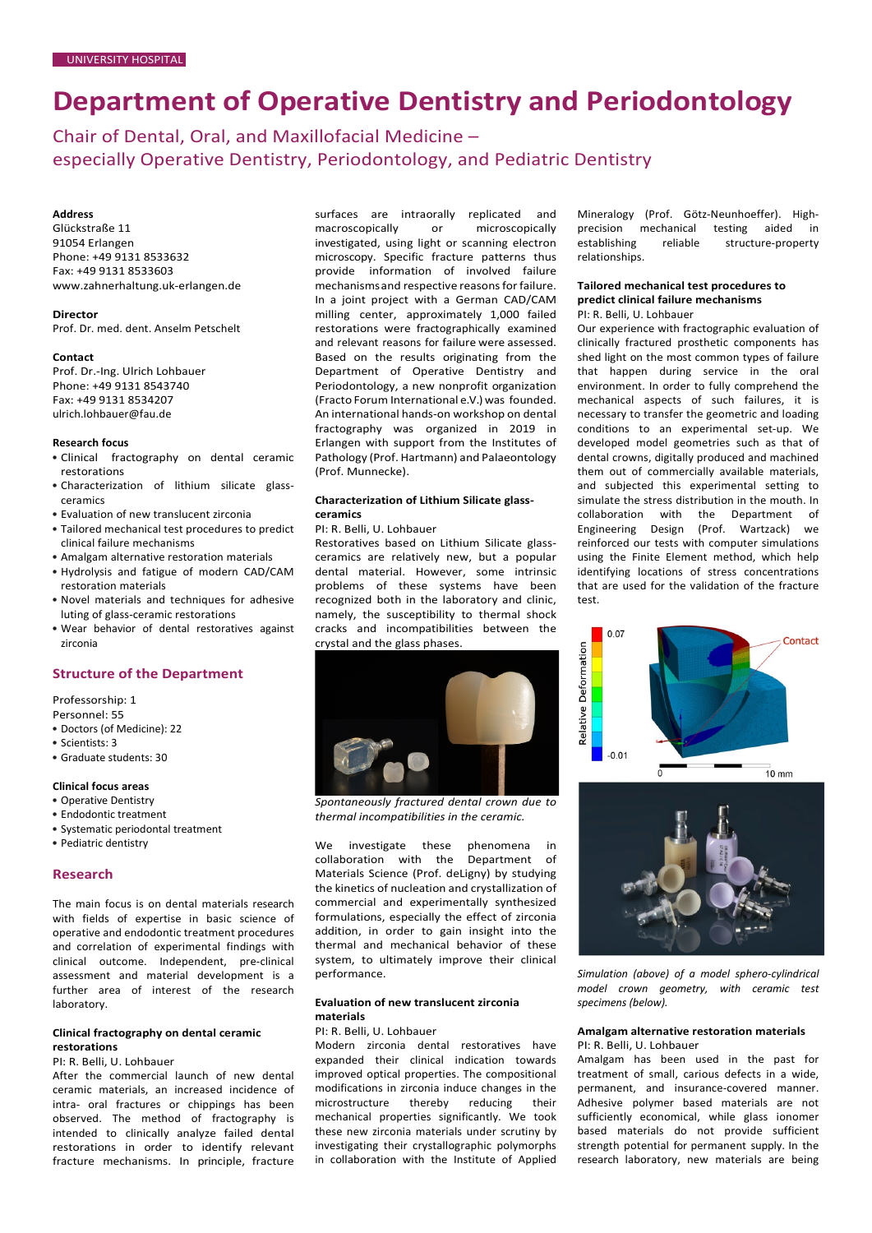# **Department of Operative Dentistry and Periodontology**

Chair of Dental, Oral, and Maxillofacial Medicine – especially Operative Dentistry, Periodontology, and Pediatric Dentistry

# **Address**

Glückstraße 11 91054 Erlangen Phone: +49 9131 8533632 Fax: +49 9131 8533603 [www.zahnerhaltung.uk-erlangen.de](http://www.zahnerhaltung.uk-erlangen.de/)

#### **Director**

Prof. Dr. med. dent. Anselm Petschelt

# **Contact**

Prof. Dr.-Ing. Ulrich Lohbauer Phone: +49 9131 8543740 Fax: +49 9131 8534207 [ulrich.lohbauer@fau.de](mailto:ulrich.lohbauer@fau.de)

## **Research focus**

- Clinical fractography on dental ceramic restorations
- Characterization of lithium silicate glassceramics
- Evaluation of new translucent zirconia
- Tailored mechanical test procedures to predict clinical failure mechanisms
- Amalgam alternative restoration materials
- Hydrolysis and fatigue of modern CAD/CAM restoration materials
- Novel materials and techniques for adhesive luting of glass-ceramic restorations
- Wear behavior of dental restoratives against zirconia

# **Structure of the Department**

Professorship: 1

- Personnel: 55
- Doctors (of Medicine): 22 • Scientists: 3
- 
- Graduate students: 30

# **Clinical focus areas**

- Operative Dentistry
- Endodontic treatment
- Systematic periodontal treatment
- Pediatric dentistry

## **Research**

The main focus is on dental materials research with fields of expertise in basic science of operative and endodontic treatment procedures and correlation of experimental findings with clinical outcome. Independent, pre-clinical assessment and material development is a further area of interest of the research laboratory.

# **Clinical fractography on dental ceramic restorations**

# PI: R. Belli, U. Lohbauer

After the commercial launch of new dental ceramic materials, an increased incidence of intra- oral fractures or chippings has been observed. The method of fractography is intended to clinically analyze failed dental restorations in order to identify relevant fracture mechanisms. In principle, fracture surfaces are intraorally replicated and macroscopically or microscopically investigated, using light or scanning electron microscopy. Specific fracture patterns thus provide information of involved failure mechanisms and respective reasons for failure. In a joint project with a German CAD/CAM milling center, approximately 1,000 failed restorations were fractographically examined and relevant reasons for failure were assessed. Based on the results originating from the Department of Operative Dentistry and Periodontology, a new nonprofit organization  $(Fraction F$ orum International e.V.) was founded An international hands-on workshop on dental fractography was organized in 2019 in Erlangen with support from the Institutes of Pathology (Prof. Hartmann) and Palaeontology (Prof. Munnecke).

## **Characterization of Lithium Silicate glassceramics**

PI: R. Belli, U. Lohbauer

Restoratives based on Lithium Silicate glassceramics are relatively new, but a popular dental material. However, some intrinsic problems of these systems have been recognized both in the laboratory and clinic, namely, the susceptibility to thermal shock cracks and incompatibilities between the crystal and the glass phases.



*Spontaneously fractured dental crown due to thermal incompatibilities in the ceramic.*

We investigate these phenomena in collaboration with the Department of Materials Science (Prof. deLigny) by studying the kinetics of nucleation and crystallization of commercial and experimentally synthesized formulations, especially the effect of zirconia addition, in order to gain insight into the thermal and mechanical behavior of these system, to ultimately improve their clinical performance.

# **Evaluation of new translucent zirconia materials**

# PI: R. Belli, U. Lohbauer

Modern zirconia dental restoratives have expanded their clinical indication towards improved optical properties. The compositional modifications in zirconia induce changes in the microstructure thereby reducing their mechanical properties significantly. We took these new zirconia materials under scrutiny by investigating their crystallographic polymorphs in collaboration with the Institute of Applied

Mineralogy (Prof. Götz-Neunhoeffer). Highprecision mechanical testing aided in<br>establishing reliable structure-property structure-property relationships.

# **Tailored mechanical test procedures to predict clinical failure mechanisms**

PI: R. Belli, U. Lohbauer

Our experience with fractographic evaluation of clinically fractured prosthetic components has shed light on the most common types of failure that happen during service in the oral environment. In order to fully comprehend the mechanical aspects of such failures, it is necessary to transfer the geometric and loading conditions to an experimental set-up. We developed model geometries such as that of dental crowns, digitally produced and machined them out of commercially available materials, and subjected this experimental setting to simulate the stress distribution in the mouth. In collaboration with the Department of Engineering Design (Prof. Wartzack) we reinforced our tests with computer simulations using the Finite Element method, which help identifying locations of stress concentrations that are used for the validation of the fracture test.





*Simulation (above) of a model sphero-cylindrical model crown geometry, with ceramic test specimens (below).*

# **Amalgam alternative restoration materials** PI: R. Belli, U. Lohbauer

Amalgam has been used in the past for treatment of small, carious defects in a wide, permanent, and insurance-covered manner. Adhesive polymer based materials are not sufficiently economical, while glass ionomer based materials do not provide sufficient strength potential for permanent supply. In the research laboratory, new materials are being